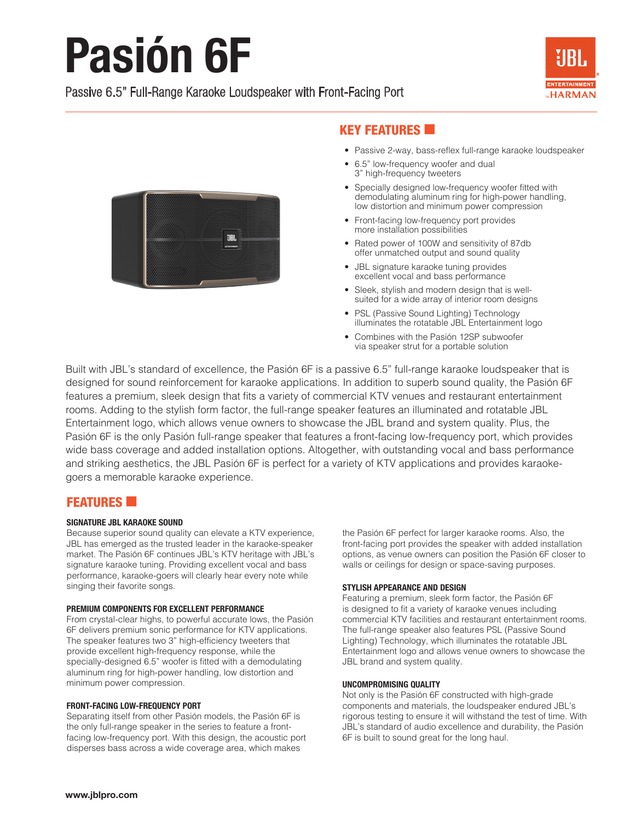# **Pasión 6F**

# Passive 6.5" Full-Range Karaoke Loudspeaker with Front-Facing Port





# **KEY FEATURES**

- Passive 2-way, bass-reflex full-range karaoke loudspeaker
- 6.5" low-frequency woofer and dual 3" high-frequency tweeters
- Specially designed low-frequency woofer fitted with demodulating aluminum ring for high-power handling, low distortion and minimum power compression
- Front-facing low-frequency port provides more installation possibilities
- Rated power of 100W and sensitivity of 87db offer unmatched output and sound quality
- JBL signature karaoke tuning provides excellent vocal and bass performance
- Sleek, stylish and modern design that is wellsuited for a wide array of interior room designs
- PSL (Passive Sound Lighting) Technology illuminates the rotatable JBL Entertainment logo
- Combines with the Pasión 12SP subwoofer via speaker strut for a portable solution

Built with JBL's standard of excellence, the Pasión 6F is a passive 6.5" full-range karaoke loudspeaker that is designed for sound reinforcement for karaoke applications. In addition to superb sound quality, the Pasión 6F features a premium, sleek design that fits a variety of commercial KTV venues and restaurant entertainment rooms. Adding to the stylish form factor, the full-range speaker features an illuminated and rotatable JBL Entertainment logo, which allows venue owners to showcase the JBL brand and system quality. Plus, the Pasión 6F is the only Pasión full-range speaker that features a front-facing low-frequency port, which provides wide bass coverage and added installation options. Altogether, with outstanding vocal and bass performance and striking aesthetics, the JBL Pasión 6F is perfect for a variety of KTV applications and provides karaokegoers a memorable karaoke experience.

## **FEATURES**

### SIGNATURE JBL KARAOKE SOUND

Because superior sound quality can elevate a KTV experience, JBL has emerged as the trusted leader in the karaoke-speaker market. The Pasión 6F continues JBL's KTV heritage with JBL's signature karaoke tuning. Providing excellent vocal and bass performance, karaoke-goers will clearly hear every note while singing their favorite songs.

#### PREMIUM COMPONENTS FOR EXCELLENT PERFORMANCE

From crystal-clear highs, to powerful accurate lows, the Pasión 6F delivers premium sonic performance for KTV applications. The speaker features two 3" high-efficiency tweeters that provide excellent high-frequency response, while the specially-designed 6.5" woofer is fitted with a demodulating aluminum ring for high-power handling, low distortion and minimum power compression.

#### FRONT-FACING LOW-FREQUENCY PORT

Separating itself from other Pasión models, the Pasión 6F is the only full-range speaker in the series to feature a frontfacing low-frequency port. With this design, the acoustic port disperses bass across a wide coverage area, which makes

the Pasión 6F perfect for larger karaoke rooms. Also, the front-facing port provides the speaker with added installation options, as venue owners can position the Pasión 6F closer to walls or ceilings for design or space-saving purposes.

### STYLISH APPEARANCE AND DESIGN

Featuring a premium, sleek form factor, the Pasión 6F is designed to fit a variety of karaoke venues including commercial KTV facilities and restaurant entertainment rooms. The full-range speaker also features PSL (Passive Sound Lighting) Technology, which illuminates the rotatable JBL Entertainment logo and allows venue owners to showcase the JBL brand and system quality.

#### UNCOMPROMISING QUALITY

Not only is the Pasión 6F constructed with high-grade components and materials, the loudspeaker endured JBL's rigorous testing to ensure it will withstand the test of time. With JBL's standard of audio excellence and durability, the Pasión 6F is built to sound great for the long haul.